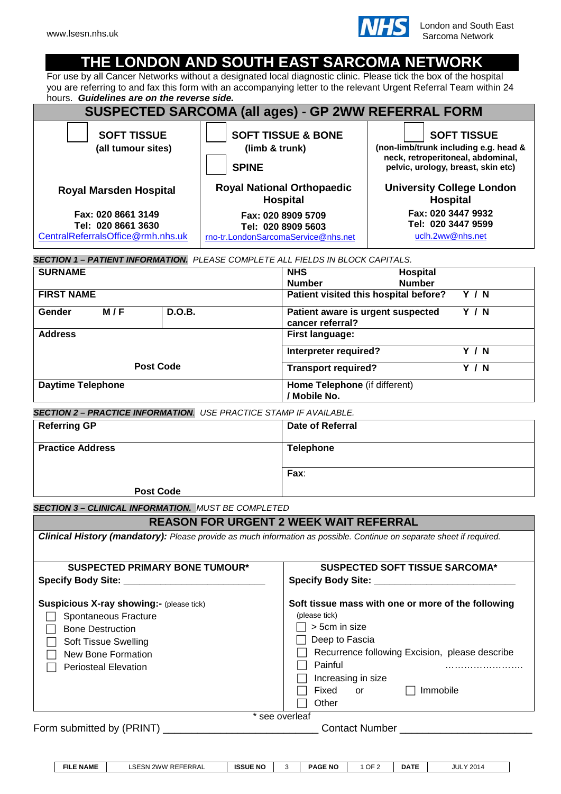

# **THE LONDON AND SOUTH EAST SARCOMA NETWORK**

For use by all Cancer Networks without a designated local diagnostic clinic. Please tick the box of the hospital you are referring to and fax this form with an accompanying letter to the relevant Urgent Referral Team within 24 hours.*Guidelines are on the reverse side.*

| SUSPECTED SARCOMA (all ages) - GP 2WW REFERRAL FORM                                   |                                                                                 |                                                                                                                                        |  |  |  |  |  |
|---------------------------------------------------------------------------------------|---------------------------------------------------------------------------------|----------------------------------------------------------------------------------------------------------------------------------------|--|--|--|--|--|
| <b>SOFT TISSUE</b><br>(all tumour sites)                                              | <b>SOFT TISSUE &amp; BONE</b><br>(limb & trunk)<br><b>SPINE</b>                 | <b>SOFT TISSUE</b><br>(non-limb/trunk including e.g. head &<br>neck, retroperitoneal, abdominal,<br>pelvic, urology, breast, skin etc) |  |  |  |  |  |
| <b>Royal Marsden Hospital</b>                                                         | <b>Royal National Orthopaedic</b><br><b>Hospital</b>                            | <b>University College London</b><br><b>Hospital</b>                                                                                    |  |  |  |  |  |
| Fax: 020 8661 3149<br>Tel: 020 8661 3630<br>CentralReferralsOffice@rmh.nhs.uk         | Fax: 020 8909 5709<br>Tel: 020 8909 5603<br>rno-tr.LondonSarcomaService@nhs.net | Fax: 020 3447 9932<br>Tel: 020 3447 9599<br>uclh.2ww@nhs.net                                                                           |  |  |  |  |  |
| <b>SECTION 1 – PATIENT INFORMATION.</b> PLEASE COMPLETE ALL FIELDS IN BLOCK CAPITALS. |                                                                                 |                                                                                                                                        |  |  |  |  |  |

| <b>SURNAME</b>           |        | <b>NHS</b><br>Hospital                                |       |  |  |  |
|--------------------------|--------|-------------------------------------------------------|-------|--|--|--|
|                          |        | <b>Number</b><br><b>Number</b>                        |       |  |  |  |
| <b>FIRST NAME</b>        |        | Patient visited this hospital before?                 | Y / N |  |  |  |
| M/F<br>Gender            | D.O.B. | Patient aware is urgent suspected<br>cancer referral? | Y / N |  |  |  |
| <b>Address</b>           |        | <b>First language:</b>                                |       |  |  |  |
|                          |        | Interpreter required?                                 | Y / N |  |  |  |
| <b>Post Code</b>         |        | <b>Transport required?</b><br>Y / N                   |       |  |  |  |
| <b>Daytime Telephone</b> |        | Home Telephone (if different)                         |       |  |  |  |
|                          |        | 'Mobile No.                                           |       |  |  |  |

| <b>SECTION 2 - PRACTICE INFORMATION.</b> USE PRACTICE STAMP IF AVAILABLE. |                  |  |  |  |
|---------------------------------------------------------------------------|------------------|--|--|--|
| <b>Referring GP</b>                                                       | Date of Referral |  |  |  |
| <b>Practice Address</b>                                                   | <b>Telephone</b> |  |  |  |
|                                                                           | Fax:             |  |  |  |
| <b>Post Code</b>                                                          |                  |  |  |  |

*SECTION 3 – CLINICAL INFORMATION. MUST BE COMPLETED*

## **REASON FOR URGENT 2 WEEK WAIT REFERRAL**

| <b>SUSPECTED PRIMARY BONE TUMOUR*</b>           | <b>SUSPECTED SOFT TISSUE SARCOMA*</b>              |
|-------------------------------------------------|----------------------------------------------------|
|                                                 |                                                    |
| <b>Suspicious X-ray showing:- (please tick)</b> | Soft tissue mass with one or more of the following |
| Spontaneous Fracture                            | (please tick)                                      |
| <b>Bone Destruction</b>                         | > 5cm in size                                      |
| <b>Soft Tissue Swelling</b>                     | Deep to Fascia                                     |
| New Bone Formation                              | Recurrence following Excision, please describe     |
| <b>Periosteal Elevation</b>                     | Painful                                            |
|                                                 | Increasing in size                                 |
|                                                 | Fixed or<br>Immobile                               |
|                                                 | Other                                              |
|                                                 | * see overleaf                                     |
| Form submitted by (PRINT)                       | <b>Contact Number</b>                              |

| <b>NAME</b><br>FILI | $- - -$<br>`REFERRAL<br>2WW<br>SN. | <b>ISSUE NO</b> | 'AGE NO<br>PAG∟ | OF <sub>2</sub> | <b>DATE</b> | 201<br>JUL |
|---------------------|------------------------------------|-----------------|-----------------|-----------------|-------------|------------|